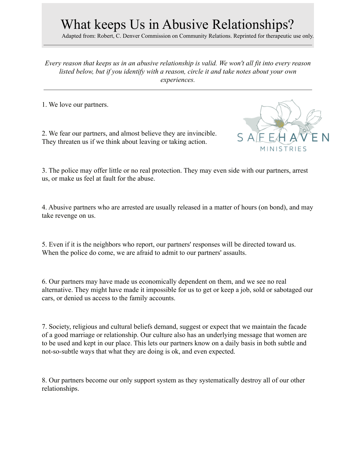## What keeps Us in Abusive Relationships?

Adapted from: Robert, C. Denver Commission on Community Relations. Reprinted for therapeutic use only.

*Every reason that keeps us in an abusive relationship is valid. We won't all fit into every reason listed below, but if you identify with a reason, circle it and take notes about your own experiences.*

1. We love our partners.

2. We fear our partners, and almost believe they are invincible. They threaten us if we think about leaving or taking action.



3. The police may offer little or no real protection. They may even side with our partners, arrest us, or make us feel at fault for the abuse.

4. Abusive partners who are arrested are usually released in a matter of hours (on bond), and may take revenge on us.

5. Even if it is the neighbors who report, our partners' responses will be directed toward us. When the police do come, we are afraid to admit to our partners' assaults.

6. Our partners may have made us economically dependent on them, and we see no real alternative. They might have made it impossible for us to get or keep a job, sold or sabotaged our cars, or denied us access to the family accounts.

7. Society, religious and cultural beliefs demand, suggest or expect that we maintain the facade of a good marriage or relationship. Our culture also has an underlying message that women are to be used and kept in our place. This lets our partners know on a daily basis in both subtle and not-so-subtle ways that what they are doing is ok, and even expected.

8. Our partners become our only support system as they systematically destroy all of our other relationships.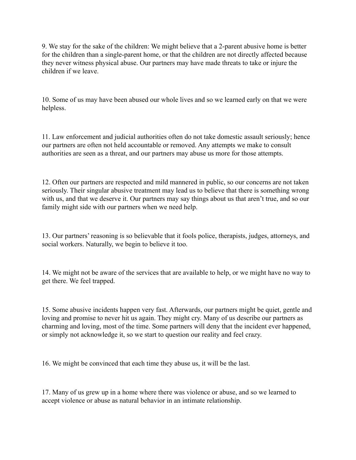9. We stay for the sake of the children: We might believe that a 2-parent abusive home is better for the children than a single-parent home, or that the children are not directly affected because they never witness physical abuse. Our partners may have made threats to take or injure the children if we leave.

10. Some of us may have been abused our whole lives and so we learned early on that we were helpless.

11. Law enforcement and judicial authorities often do not take domestic assault seriously; hence our partners are often not held accountable or removed. Any attempts we make to consult authorities are seen as a threat, and our partners may abuse us more for those attempts.

12. Often our partners are respected and mild mannered in public, so our concerns are not taken seriously. Their singular abusive treatment may lead us to believe that there is something wrong with us, and that we deserve it. Our partners may say things about us that aren't true, and so our family might side with our partners when we need help.

13. Our partners' reasoning is so believable that it fools police, therapists, judges, attorneys, and social workers. Naturally, we begin to believe it too.

14. We might not be aware of the services that are available to help, or we might have no way to get there. We feel trapped.

15. Some abusive incidents happen very fast. Afterwards, our partners might be quiet, gentle and loving and promise to never hit us again. They might cry. Many of us describe our partners as charming and loving, most of the time. Some partners will deny that the incident ever happened, or simply not acknowledge it, so we start to question our reality and feel crazy.

16. We might be convinced that each time they abuse us, it will be the last.

17. Many of us grew up in a home where there was violence or abuse, and so we learned to accept violence or abuse as natural behavior in an intimate relationship.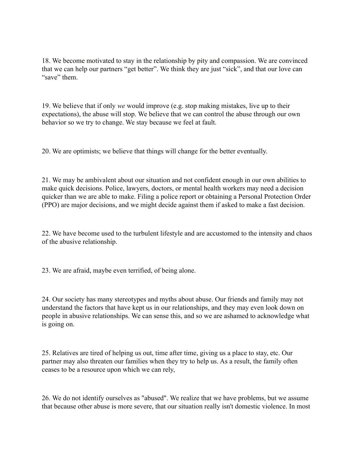18. We become motivated to stay in the relationship by pity and compassion. We are convinced that we can help our partners "get better". We think they are just "sick", and that our love can "save" them.

19. We believe that if only *we* would improve (e.g. stop making mistakes, live up to their expectations), the abuse will stop. We believe that we can control the abuse through our own behavior so we try to change. We stay because we feel at fault.

20. We are optimists; we believe that things will change for the better eventually.

21. We may be ambivalent about our situation and not confident enough in our own abilities to make quick decisions. Police, lawyers, doctors, or mental health workers may need a decision quicker than we are able to make. Filing a police report or obtaining a Personal Protection Order (PPO) are major decisions, and we might decide against them if asked to make a fast decision.

22. We have become used to the turbulent lifestyle and are accustomed to the intensity and chaos of the abusive relationship.

23. We are afraid, maybe even terrified, of being alone.

24. Our society has many stereotypes and myths about abuse. Our friends and family may not understand the factors that have kept us in our relationships, and they may even look down on people in abusive relationships. We can sense this, and so we are ashamed to acknowledge what is going on.

25. Relatives are tired of helping us out, time after time, giving us a place to stay, etc. Our partner may also threaten our families when they try to help us. As a result, the family often ceases to be a resource upon which we can rely,

26. We do not identify ourselves as "abused". We realize that we have problems, but we assume that because other abuse is more severe, that our situation really isn't domestic violence. In most